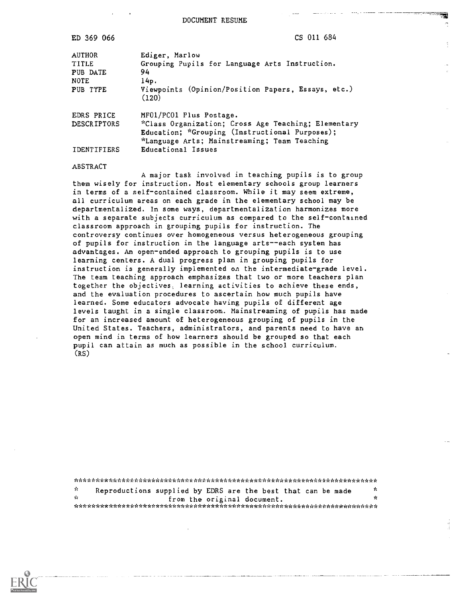ED 369 066 CS 011 684

| <b>AUTHOR</b><br>TITLE<br>PUB DATE<br><b>NOTE</b><br>PUB TYPE | Ediger, Marlow<br>Grouping Pupils for Language Arts Instruction.<br>94<br>14p.<br>Viewpoints (Opinion/Position Papers, Essays, etc.)<br>(120)                                                          |
|---------------------------------------------------------------|--------------------------------------------------------------------------------------------------------------------------------------------------------------------------------------------------------|
| EDRS PRICE<br><b>DESCRIPTORS</b><br><b>TDENTTFTERS</b>        | MF01/PC01 Plus Postage.<br>*Class Organization; Cross Age Teaching; Elementary<br>Education; *Grouping (Instructional Purposes);<br>*Language Arts; Mainstreaming; Team Teaching<br>Educational Issues |

#### ABSTRACT

A major task involved in teaching pupils is to group them wisely for instruction. Most elementary schools group learners in terms of a self-contained classroom. While it may seem extreme, all curriculum areas on each grade in the elementary school may be departmentalized. In some ways, departmentalization harmonizes more with a separate subjects curriculum as compared to the self-contained classroom approach in grouping pupils for instruction. The controversy continues over homogeneous versus heterogeneous grouping of pupils for instruction in the language arts--each system has advantages. An open-ended approach to grouping pupils is to use learning centers. A dual progress plan in grouping pupils for instruction is generally implemented on the intermediate-grade level. The team teaching approach emphasizes that two or more teachers plan together the objectives, learning activities to achieve these ends, and the evaluation procedures to ascertain how much pupils have learned. Some educators advocate having pupils of different age levels taught in a single classroom. Mainstreaming of pupils has made for an increased amount of heterogeneous grouping of pupils in the United States. Teachers, administrators, and parents need to have an open mind in terms of how learners should be grouped so that each pupil can attain as much as possible in the school curriculum. (RS)

\*\*\*\*\*\*\*\*\*\*\*\*\*\*\*\*\*\*\*\*\*\*\*\*\*\*\*\*\*\*\*\*\*\*\*\*\*\*\*\*\*\*\*\*\*\*\*\*\*\*\*\*\*\*\*\*\*\*\*\*\*\*\*\*\*\*\*\*\*\*\*  $\mathbf{r}$ Reproductions supplied by EDRS are the best that can be made  $*$ from the original document. \*\*\*\*\*\*\*\*\*\*\*\*\*\*\*\*\*\*\*\*\*\*\*\*\*\*\*\*\*\*\*\*\*\*\*\*\*\*\*\*\*\*\*\*\*\*\*\*\*\*\*\*\*\*\*\*\*\*\*\*\*\*\*\*\*\*\*\*\*\*\*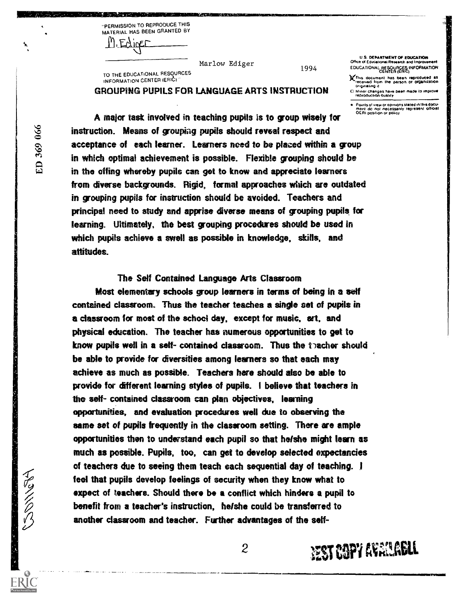"PERMISSION TO REPRODUCE THIS MATERIAL HAS BEEN GRANTED BY

. Enliner

TO THE EDUCATIONAL RESOURCES INFORMATION CENTER (ERIC)

1994

U.S. DEPARTMENT OF EDUCATION Office of Educational Research and Im EDUCATIONAL RESOURCES INFORMATION CENTER (ERIC)

)4This document non bean reproduced as received Porn the person or ORNiniTahon oripinahnp it

Minor changes have been made to improve reproduction Quality

Points of view or opinions stated in this doculi<br>Imént: do .not. necessarily. represent. official<br>OE.RI position or policy

A major task involved in teaching pupils is to group wisely for instruction. Means of grouping pupils should reveal respect and acceptance of each learner. Learners need to be placed within a group in which optimal achievement is possible. Flexible grouping should be in the offing whereby pupils can get to know and appreciate learners from diverse backgrounds. Rigid, formal approaches which are outdated in grouping pupils for instruction should be avoided. Teachers and principal need to study and apprise diverse means of grouping pupils, for learning. Ultimately, the best grouping procedures should be used in which pupils achieve a swell as possible in knowledge, skills, and attitudes.

Marlow Ediger

GROUPING PUPILS FOR LANGUAGE ARTS INSTRUCTION

#### The Self Contained Language Arts Classroom

Most elementary schools group learners in terms of being in a self contained classroom. Thus the teacher teaches a single set of pupils in a classroom for most of the school day, except for music, art, and physical education. The teacher has numerous opportunities to get to know pupils well in a self- contained classroom. Thus the teacher should be able to provide for diversities among learners so that each may achieve as much as possible. Teachers here should also be able to provide for different learning styles of pupils. I believe that teachers in the self- contained classroom can plan objectives, learning opportunities, and evaluation procedures well due to observing the same set of pupils frequently in the classroom setting. There are ample opportunities then to understand each pupil so that he/she might learn as much as possible. Pupils, too, can get to develop selected expectancies of teachers due to seeing them teach each sequential day of teaching. I feel that pupils develop feelings of security when they know what to expect of teachers. Should there be a conflict which hinders a pupil to benefit from a teacher's instruction, he/she could be transferred to another classroom and teacher. Further advantages of the self-

ED 369 066

To MONG

2

**EST COPY AVAILABLE**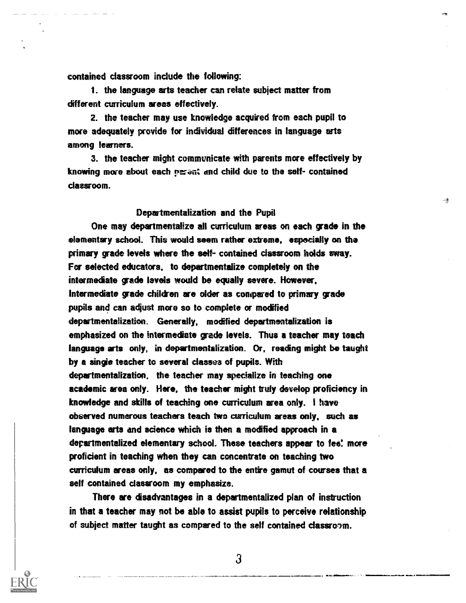contained classroom include the following:

1. the language arts teacher can relate subject matter from different curriculum areas effectively.

2. the teacher may use knowledge acquired from each pupil to more adequately provide for individual differences in language arts among learners.

3. the teacher might communicate with parents more effectively by knowing more about each person and child due to the self- contained classroom.

킃

## Departmentalization and the Pupil

One may departmentalize all curriculum areas on each grade in the elementary school. This would seem rather extreme, especially on the primary grade levels where the self- contained classroom holds sway. For selected educators, to departmentalize completely on the intermediate grade levels would be equally severe. However, Intermediate grade children are older as compared to primary grade pupils and can adjust more so to complete or modified departmentalization. Generally, modified departmentalization is emphasized on the intermediate grade levels. Thus a teacher may teach language arts only, in departmentalization. Or, reading might be taught by a single teacher to several classes of pupils. With departmentalization, the teacher may specialize in teaching one academic area only. Here, the teacher might truly develop proficiency in knowledge and skills of teaching one curriculum area only. I have observed numerous teachers teach two curriculum areas only, such as language arts and science which is then a modified approach in a departmentalized elementary school. These teachers appear to fee! more proficient in teaching when they can concentrate on teaching two curriculum areas only, as compared to the entire gamut of courses that a self contained classroom my emphasize.

There are disadvantages in a departmentalized plan of instruction in that a teacher may not be able to assist pupils to perceive relationship of subject matter taught as compared to the self contained classroom.

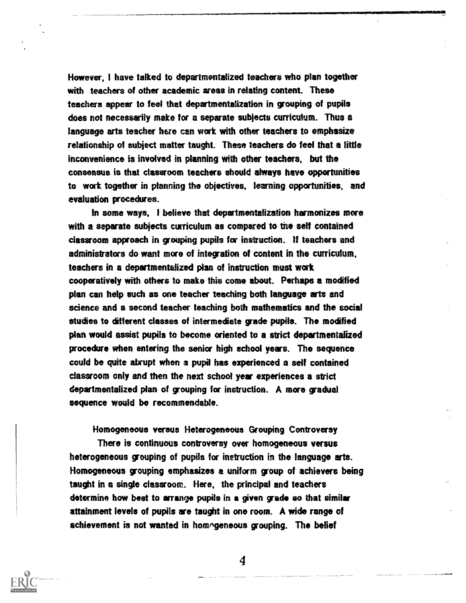However, I have talked to departmentalized teachers who plan together with teachers of other academic areas in relating content. These teachers appear to feel that departmentalization in grouping of pupils does not necessarily make for a separate subjects curriculum. Thus a language arts teacher here can work with other teachers to emphasize relationship of subject matter taught. These teachers do feel that a little inconvenience is involved in planning with other teachers, but the consensus is that classroom teachers should always have opportunities to work together in planning the objectives, learning opportunities, and evaluation procedures.

In some ways, I believe that departmentalization harmonizes more with a separate subjects curriculum as compared to the self contained classroom approach in grouping pupils for instruction. If teachers and administrators do want more of integration of content in the curriculum, teachers in a departmentalized plan of instruction must work cooperatively with others to make this come about. Perhaps a modified plan can help such as one teacher teaching both language arts and science and a second teacher teaching both mathematics and the social studies to different classes of intermediate grade pupils. The modified plan would assist pupils to become oriented to a strict departmentalized procedure when entering the senior high school years. The sequence could be quite abrupt when a pupil has experienced a self contained classroom only and then the next school year experiences a strict departmentalized plan of grouping for instruction. A more gradual sequence would be recommendable.

Homogeneous versus Heterogeneous Grouping Controversy

There is continuous controversy over homogeneous versus heterogeneous grouping of pupils for instruction in the language arts. Homogeneous grouping emphasizes a uniform group of achievers being taught in a single classroom. Here, the principal and teachers determine how best to arrange pupils in a given grade so that similar attainment levels of pupils are taught in one room. A wide range of achievement is not wanted in homogeneous grouping. The belief

 $\boldsymbol{4}$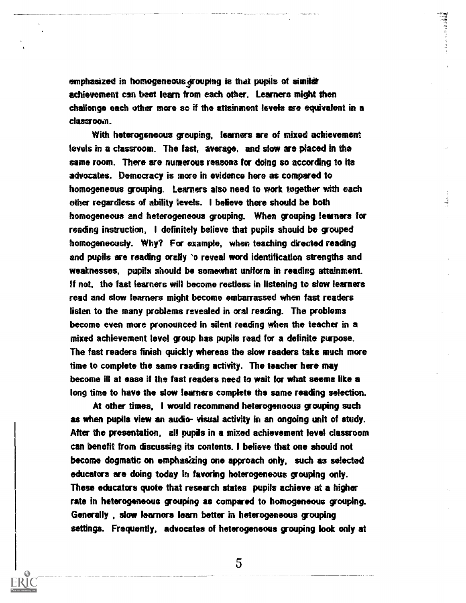emphasized in homogeneous grouping is that pupils of similer achievement can best learn from each other. Learners might then challenge each other more so if the attainment levels are equivalent in a classroom.

**THE ENDING** 

With heterogeneous grouping, learners are of mixed achievement levels in a classroom The fast, average, and slow are placed in the same room. There are numerous reasons for doing so according to its advocates. Democracy is more in evidence here as compared to homogeneous grouping. Learners also need to work together with each other regardless of ability levels. I believe there should be both homogeneous and heterogeneous grouping. When grouping learners for reading instruction, I definitely believe that pupils should be grouped homogeneously. Why? For example, when teaching directed reading and pupils are reading orally `o reveal word identification strengths and weaknesses, pupils should be somewhat uniform in reading attainment. If not, the fast learners will become restless in listening to slow learners read and slow learners might become embarrassed when fast readers listen to the many problems revealed in oral reading. The problems become even more pronounced in silent reading when the teacher in a mixed achievement level group has pupils read for a definite purpose. The fast readers finish quickly whereas the slow readers take much more time to complete the same reading activity. The teacher here may become ill at ease if the fast readers need to wait for what seems like a long time to have the slow learners complete the same reading selection.

At other times, I would recommend heterogeneous grouping such as when pupils view an audio- visual activity in an ongoing unit of study. After the presentation, all pupils in a mixed achievement level classroom can benefit from ciscussing its contents. I believe that one should not become dogmatic on emphasizing one approach only, such as selected educators are doing today in favoring heterogeneous grouping only. These educators quote that research states pupils achieve at a higher rate in heterogeneous grouping as compared to homogeneous grouping. Generally , slow learners learn better in heterogeneous grouping settings. Frequently, advocates of heterogeneous grouping look only at

5

 $\theta$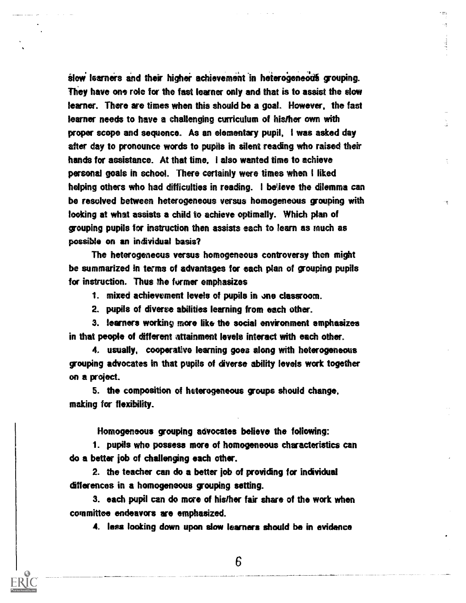slow learners and their higher achievement in heterogeneous grouping. They have one role for the fast learner only and that is to assist the slow learner. There are times when this should be a goal. However, the fast learner needs to have a challenging curriculum of his/her own with proper scope and sequence. As an elementary pupil, I was asked day after day to pronounce words to pupils in silent reading who raised their hands for assistance. At that time, i also wanted time to achieve personal goals in school. There certainly were times when I liked helping others who had difficulties in reading. I believe the dilemma can be resolved between heterogeneous versus homogeneous grouping with looking at what assists a child to achieve optimally. Which plan of grouping pupils for instruction then assists each to learn as much as possible on an individual basis?

The heterogeneous versus homogeneous controversy then might be summarized in terms of advantages for each plan of grouping pupils for instruction. Thus the former emphasizes

1. mixed achievement levels of pupils in one classroom.

2. pupils of diverse abilities learning from each other.

3. learners working more like the social environment emphasizes in that people of different attainment levels interact with each other.

4. usually, cooperative learning goes along with heterogeneous grouping advocates in that pupils of diverse ability levels work together on a project.

5. the composition of heterogeneous groups should change, making for flexibility.

Homogeneous grouping advocates believe the following:

1. pupils who possess more of homogeneous characteristics can do a better job of challenging each other.

2. the teacher can do a better job of providing for individual differences in a homogeneous grouping setting.

3. each pupil can do more of hisfher fair share of the work when committee endeavors are emphasized.

4. less looking down upon slow learners should be in evidence

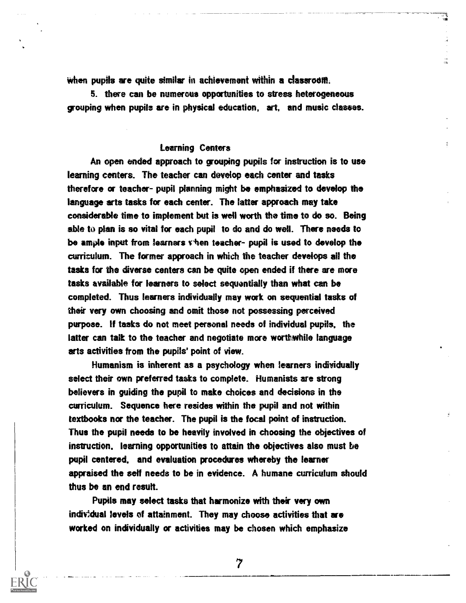when pupils are quite similar in achievement within a classroom.

5. there can be numerous opportunities to stress heterogeneous grouping when pupils are in physical education, art, and music classes.

# Learning Centers

An open ended approach to grouping pupils for instruction is to use learning centers. The teacher can develop each center and tasks therefore or teacher- pupil planning might be emphasized to develop the language arts tasks for each center. The latter approach may take considerable time to implement but is well worth the time to do so. Being able to plan is so vital for each pupil to do and do well. There needs to be ample input from learners viten teacher- pupil is used to develop the curriculum. The former approach in which the teacher develops all the tasks for the diverse centers can be quite open ended if there are more tasks available for learners to select sequentially than what can be completed. Thus learners individually may work on sequential tasks of their very own choosing and omit those not possessing perceived purpose. If tasks do not meet personal needs of individual pupils, the latter can talk to the teacher and negotiate more worthwhile language arts activities from the pupils' point of view.

Humanism is inherent as a psychology when learners individually select their own preferred tasks to complete. Humanists are strong believers in guiding the pupil to make choices and decisions in the curriculum. Sequence here resides within the pupil and not within textbooks nor the teacher. The pupil is the focal point of instruction. Thus the pupil needs to be heavily involved in choosing the objectives of instruction, learning opportunities to attain the objectives also must be pupil centered, and evaluation procedures whereby the learner appraised the self needs to be in evidence. A humane curriculum should thus be an end result.

Pupils may select tasks that harmonize with their very own individual levels of attainment. They may choose activities that are worked on individually or activities may be chosen which emphasize

 $\overline{7}$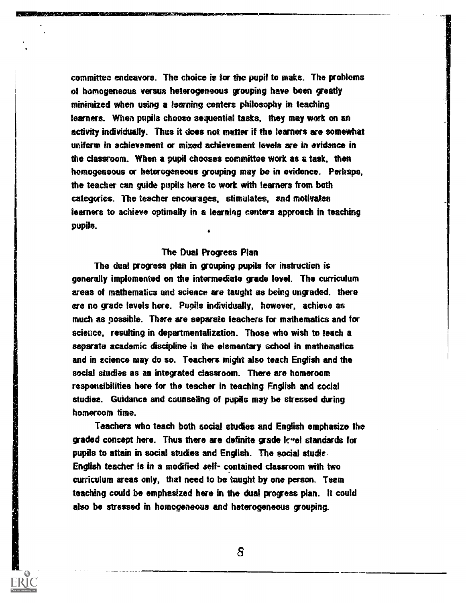committee endeavors. The choice is for the pupil to make. The problems of homogeneous versus heterogeneous grouping have been greatly minimized when using a learning centers philosophy in teaching learners. When pupils choose sequential tasks, they may work on an activity individually. Thus it does not matter if the learners are somewhat uniform in achievement or mixed achievement levels are in evidence in the classroom. When a pupil chooses committee work as a task, then homogeneous or heterogeneous grouping may be in evidence. Perhaps, the teacher can guide pupils here to work with learners from both categories. The teacher encourages, stimulates, and motivates learners to achieve optimally in a learning centers approach in teaching pupils.  $\bullet$  and  $\bullet$ 

## The Dual Progress Plan

The dual progress plan in grouping pupils for instruction is generally implemented on the intermedate grade level. The curriculum areas of mathematics and science are taught as being ungraded. there are no grade levels here. Pupils indvidually, however, achieve as much as possible. There are separate teachers for mathematics and for science, resulting in departmentalization. Those who wish to teach a separate academic discipline in the elementary school in mathematics and in science may do so. Teachers might also teach English and the social studies as an integrated classroom. There are homeroom responsibilities here for the teacher in teaching English and social studies. Guidance and counseling of pupils may be stressed during homeroom time.

Teachers who teach both social studies and English emphasize the graded concept here. Thus there are definite grade icyel standards for pupils to attain in social etudes and English. The social studie English teacher is in a modified self- contained classroom with two curriculum areas only, that need to be taught by one person. Team teaching could be emphasized here in the dual progress plan. It could also be stressed in homogeneous and heterogeneous grouping.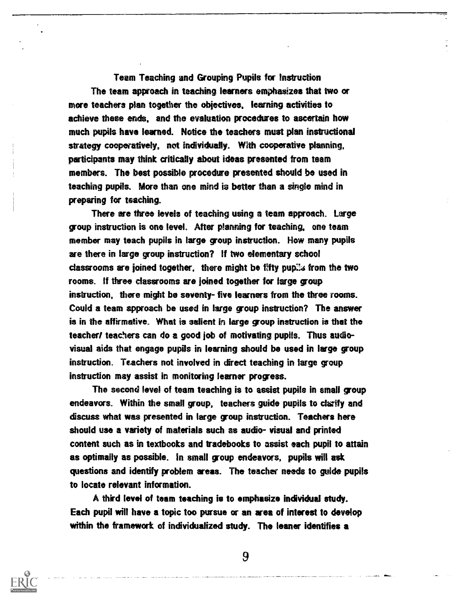Team Teaching and Grouping Pupils for Instruction The team approach in teaching learners emphasizes that two or more teachers plan together the objectives. learning activities to achieve these ends, and the evaluation procedures to ascertain how much pupils have learned. Notice the teachers must plan instructional strategy cooperatively, not individually. With cooperative planning, participants may think critically about ideas presented from team members. The best possible procedure presented should be used in teaching pupils. More than one mind is better than a single mind in preparing for teaching.

There are three levels of teaching using a team approach. Large group instruction is one level. After planning for teaching. one team member may teach pupils in large group instruction. How many pupils are there in large group instruction? If two elementary school classrooms are joined together, there might be fifty pupils from the two rooms. If three classrooms are joined together for large group instruction, there might be seventy- five learners from the three rooms. Could a team approach be used in large group instruction? The answer is in the affirmative. What is salient in large group instruction is that the teacher/ teachers can do a good job of motivating pupils. Thus audiovisual aids that engage pupils in learning should be used in large group instruction. Teachers not involved in direct teaching in large group instruction may assist in monitoring learner progress.

The second level of team teaching is to assist pupils in small group endeavors. Within the small group, teachers guide pupils to clarify and discuss what was presented in large group instruction. Teachers here should use a variety of materials such as audio- visual and printed content such as in textbooks and tradebooks to assist each pupil to attain as optimally as possible. In small group endeavors, pupils will ask questions and identify problem areas. The teacher needs to guide pupils to locate relevant information.

A third level of team teaching is to emphasize individual study. Each pupil will have a topic too pursue or an area of interest to develop within the framework of individualized study. The leaner identifies a

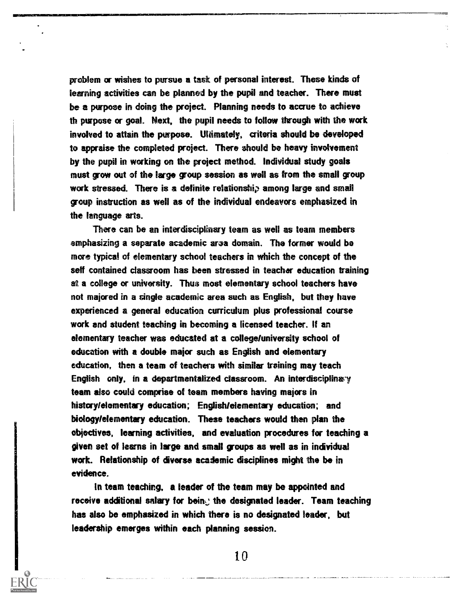problem or wishes to pursue a task of personal interest. These kinds of learning activities can be planned by the pupil and teacher. There must be a purpose in doing the project. Planning needs to accrue to achieve th purpose or goal. Next, the pupil needs to follow through with the work involved to attain the purpose. Ultimately, criteria should be developed to appraise the completed project. There should be heavy involvement by the pupil in working on the project method. Individual study goals must grow out of the large group session as well as from the small group work stressed. There is a definite relationship among large and small group instruction as well as of the individual endeavors emphasized in the language arts.

There can be an interdisciplinary team as well as team members emphasizing a separate academic area domain. The former would be more typical of elementary school teachers in which the concept of the self contained classroom has been stressed in teacher education training at a college or university. Thus most elementary school teachers have not majored in a single academic area such as English, but they have experienced a general education curriculum plus professional course work and student teaching in becoming a licensed teacher. If an elementary teacher was educated at a collegeluniversity school of education with a double major such as English and elementary education, then a team of teachers with similar training may teach English only, in a departmentalized classroom. An interdisciplinary team also could comprise of team members having majors in historylelementary education; English/elementary education; and biology/elementary education. These teachers would then plan the objectives, learning activities, and evaluation procedures for teaching a given set of learns in large and small groups as well as in individual work. Relationship of dyerse academic disciplines might the be in evidence.

In team teaching, a leader of the team may be appointed and receive additional salary for bein. the designated leader. Team teaching has also be emphasized in which there is no designated leader, but leadership emerges within each planning session.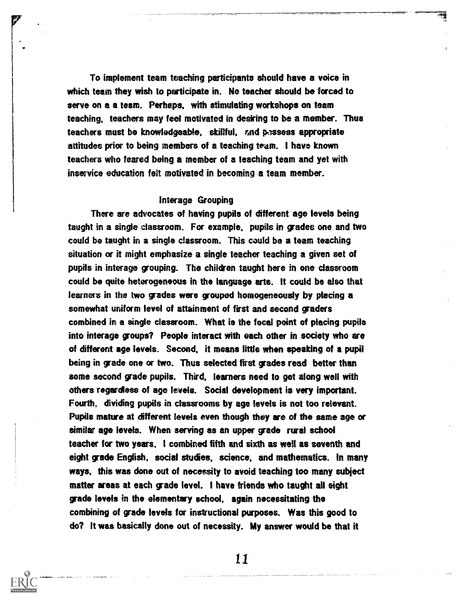To implement team teaching participants should have a voice in which team they wish to participate in. No teacher should be forced to serve on a a team. Perhaps, with stimulating workshops on team teaching, teachers may feel motivated in desiring to be a member. Thus teachers must be knowledgeabie, skillful, end passers appropriate attitudes prior to being members of a teaching team. I have known teachers who feared being a member of a teaching team and yet with inservice education felt motivated in becoming a team member.

÷,

#### Interage Grouping

There are advocates of having pupils of different age levels being taught in a single classroom. For example, pupils in grades one and two could be taught in a single classroom. This could be a team teaching situation or it might emphasize a single teacher teaching a given set of pupils in interage grouping. The children taught here in one classroom could be quite heterogeneous in the language arts. It could be also that learners in the two grades were grouped homogeneously by placing a somewhat uniform level of attainment of first and second graders combined in a single classroom. What is the focal point of placing pupils into interage groups? People interact with each other in society who are of different age levels. Second, it means little when speaking of a pupil being in grade one or two. Thus selected first grades read better than some second grade pupils. Third, learners need to get along well with others regardless of age levels. Social development is very important. Fourth, dividing pupils in classrooms by age levels is not too relevant. Pupils mature at different levels even though they are of the same age or similar age levels. When serving as an upper grade rural school teacher for two years, I combined fifth and sixth as well as seventh and eight grade English, social studies, science, and mathematics. In many ways, this was done out of necessity to avoid teaching too many subject matter areas at each grade level. I have friends who taught all eight grade levels in the elementary school, again necessitating the combining of grade levels for instructional purposes. Was this good to do? It was basically done out of necessity. My answer would be that it

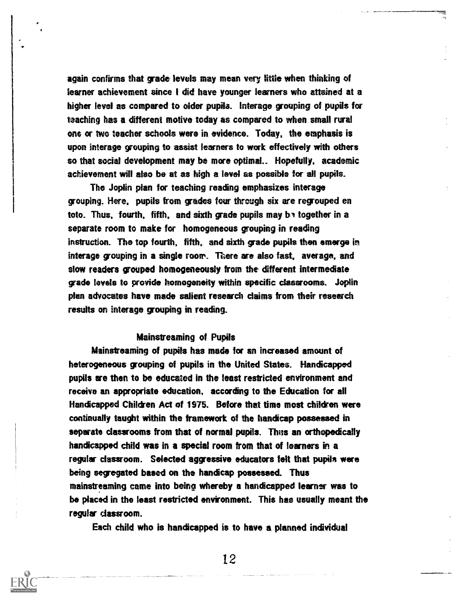again confirms that grade levels may mean very little when thinking of learner achievement since I did have younger learners who attained at a higher level as compared to older pupils. Interage grouping of pupils for teaching has a different motive today as compared to when small rural ons or two teacher schools were in evidence. Today, the emphasis is upon interage grouping to assist learners to work effectively with others so that social development may be more optimal.. Hopefully, academic achievement will also be at as high a level as possible for all pupils.

The Joplin plan for teaching reading emphasizes interage grouping. Here, pupils from grades four through six are regrouped en toto. Thus, fourth, fifth, and sixth grade pupils may be together in a separate room to make for homogeneous grouping in reading instruction. The top fourth, fifth, and sixth grade pupils then emerge in interage grouping in a single roorr. There are also fast, average, and slow readers grouped homogeneously from the different intermediate fade levels to provide homogeneity within specific classrooms. Joplin plan advocates have made salient research claims from their research results on interage grouping in reading.

#### Mainstreaming of Pupils

Mainstreaming of pupils has made for an increased amount of heterogeneous grouping of pupils in the United States. Handicapped pupils are then to be educated in the least restricted environment and receive an appropriate education, according to the Education for all Handicapped Children Act of 1975. Before that time most children were continually taught within the framework of the handicap possessed in separate classrooms from that of normal pupils. Thus an orthopedically handicapped child was in a special room from that of learners in a regular classroom. Selected aggressive educators felt that pupils were being segregated based on the handicap possessed. Thus mainstreaming came into being whereby a handicapped learner was to be placed in the least restricted environment. This has usually meant the regular classroom.

Each child who is handicapped is to have a planned individual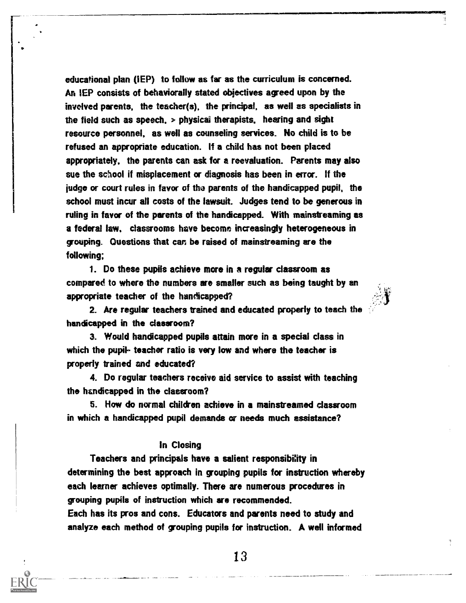educational plan (IEP) to follow as far as the curriculum is concerned. An IEP consists of behaviorally stated objectives agreed upon by the involved parents, the teacher(s), the principal, as well as specialists in the field such as speech. > physicai therapists, hearing and sight resource personnel, as well as counseling services. No child is to be refused an appropriate education. If a child has not been placed appropriately, the parents can ask for a reevaluation. Parents may also sue the school if misplacement or diagnosis has been in error. If the judge or court rules in favor of the parents of the handicapped pupil, the school must incur all costs of the lawsuit. Judges tend to be generous in ruling in favor of the parents of the handicapped. With mainstreaming as a federal law, classrooms have become increasingly heterogeneous in grouping. Questions that can be raised of mainstreaming are the following;

1. Do these pupils achieve more in a regular classroom as compared to where the numbers are smaller such as being taught by an appropriate teacher of the handicapped?

2. Are regular teachers trained and educated properly to teach the handicapped in the classroom?

3. Would handicapped pupils attain more in a special dass in which the pupil- teacher ratio is very low and where the teacher is properly trained and educated?

4. Do regular teachers receive aid service to assist with teaching the hencficapped in the classroom?

5. How do normal children achieve in a mainstreamed classroom in which a handicapped pupil demands or needs much assistance?

## In Closing

Teachers and principals have a salient responsibifity in determining the best approach in grouping pupils for instruction whereby each learner achieves optimally. There are numerous procedures in grouping pupils of instruction which are recommended.

Each has its pros and cons. Educators and parents need to study and analyze each method of grouping pupils for instruction. A well informed